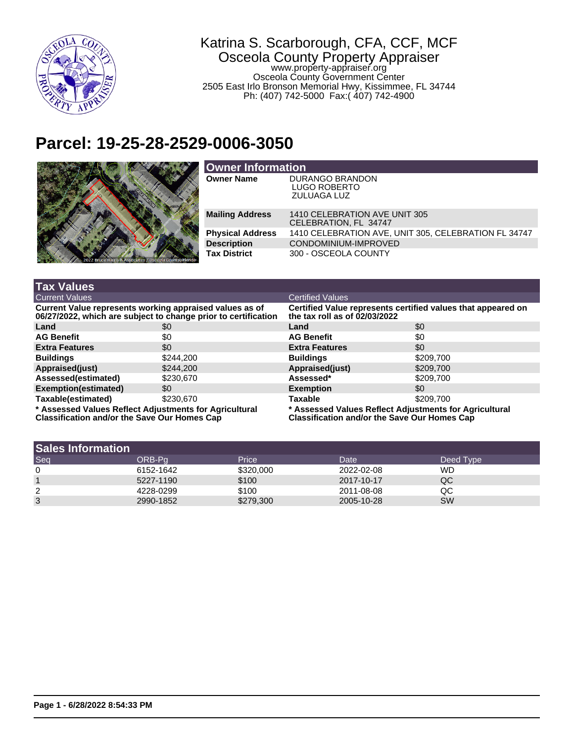

## Katrina S. Scarborough, CFA, CCF, MCF Osceola County Property Appraiser

www.property-appraiser.org Osceola County Government Center 2505 East Irlo Bronson Memorial Hwy, Kissimmee, FL 34744 Ph: (407) 742-5000 Fax:( 407) 742-4900

## **Parcel: 19-25-28-2529-0006-3050**



| <b>Owner Information</b> |                                                                     |  |  |
|--------------------------|---------------------------------------------------------------------|--|--|
| <b>Owner Name</b>        | <b>DURANGO BRANDON</b><br><b>LUGO ROBERTO</b><br><b>ZULUAGA LUZ</b> |  |  |
| <b>Mailing Address</b>   | 1410 CELEBRATION AVE UNIT 305<br>CELEBRATION, FL 34747              |  |  |
| <b>Physical Address</b>  | 1410 CELEBRATION AVE, UNIT 305, CELEBRATION FL 34747                |  |  |
| <b>Description</b>       | CONDOMINIUM-IMPROVED                                                |  |  |
| <b>Tax District</b>      | 300 - OSCEOLA COUNTY                                                |  |  |

| <b>Tax Values</b>                                                                                                         |           |                                                                                                               |           |  |
|---------------------------------------------------------------------------------------------------------------------------|-----------|---------------------------------------------------------------------------------------------------------------|-----------|--|
| <b>Current Values</b>                                                                                                     |           | <b>Certified Values</b>                                                                                       |           |  |
| Current Value represents working appraised values as of<br>06/27/2022, which are subject to change prior to certification |           | Certified Value represents certified values that appeared on<br>the tax roll as of 02/03/2022                 |           |  |
| Land                                                                                                                      | \$0       | Land                                                                                                          | \$0       |  |
| <b>AG Benefit</b>                                                                                                         | \$0       | <b>AG Benefit</b>                                                                                             | \$0       |  |
| <b>Extra Features</b>                                                                                                     | \$0       | <b>Extra Features</b>                                                                                         | \$0       |  |
| <b>Buildings</b>                                                                                                          | \$244,200 | <b>Buildings</b>                                                                                              | \$209.700 |  |
| Appraised(just)                                                                                                           | \$244.200 | Appraised(just)                                                                                               | \$209,700 |  |
| Assessed(estimated)                                                                                                       | \$230,670 | Assessed*                                                                                                     | \$209.700 |  |
| Exemption(estimated)                                                                                                      | \$0       | <b>Exemption</b>                                                                                              | \$0       |  |
| Taxable(estimated)                                                                                                        | \$230.670 | <b>Taxable</b>                                                                                                | \$209.700 |  |
| * Assessed Values Reflect Adjustments for Agricultural<br><b>Classification and/or the Save Our Homes Cap</b>             |           | * Assessed Values Reflect Adjustments for Agricultural<br><b>Classification and/or the Save Our Homes Cap</b> |           |  |

| <b>Sales Information</b> |           |           |            |           |
|--------------------------|-----------|-----------|------------|-----------|
| Seq                      | ORB-Pa    | Price     | Date       | Deed Type |
| 0                        | 6152-1642 | \$320,000 | 2022-02-08 | WD        |
|                          | 5227-1190 | \$100     | 2017-10-17 | QC        |
| 2                        | 4228-0299 | \$100     | 2011-08-08 | QC        |
| 3                        | 2990-1852 | \$279,300 | 2005-10-28 | <b>SW</b> |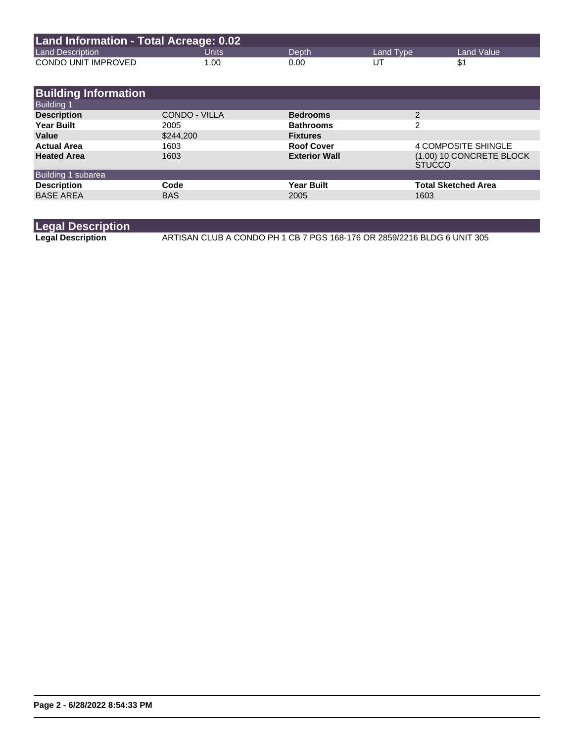| Land Information - Total Acreage: 0.02 |       |       |           |              |  |
|----------------------------------------|-------|-------|-----------|--------------|--|
| <b>Land Description</b>                | Units | Depth | Land Type | Land Value \ |  |
| CONDO UNIT IMPROVED                    | 1.00  | 0.00  | UT        |              |  |

| <b>Building Information</b> |               |                      |                                           |
|-----------------------------|---------------|----------------------|-------------------------------------------|
| <b>Building 1</b>           |               |                      |                                           |
| <b>Description</b>          | CONDO - VILLA | <b>Bedrooms</b>      | 2                                         |
| <b>Year Built</b>           | 2005          | <b>Bathrooms</b>     | 2                                         |
| Value                       | \$244,200     | <b>Fixtures</b>      |                                           |
| <b>Actual Area</b>          | 1603          | <b>Roof Cover</b>    | 4 COMPOSITE SHINGLE                       |
| <b>Heated Area</b>          | 1603          | <b>Exterior Wall</b> | (1.00) 10 CONCRETE BLOCK<br><b>STUCCO</b> |
| Building 1 subarea          |               |                      |                                           |
| <b>Description</b>          | Code          | <b>Year Built</b>    | <b>Total Sketched Area</b>                |
| <b>BASE AREA</b>            | <b>BAS</b>    | 2005                 | 1603                                      |

## **Legal Description**

**Legal Description** ARTISAN CLUB A CONDO PH 1 CB 7 PGS 168-176 OR 2859/2216 BLDG 6 UNIT 305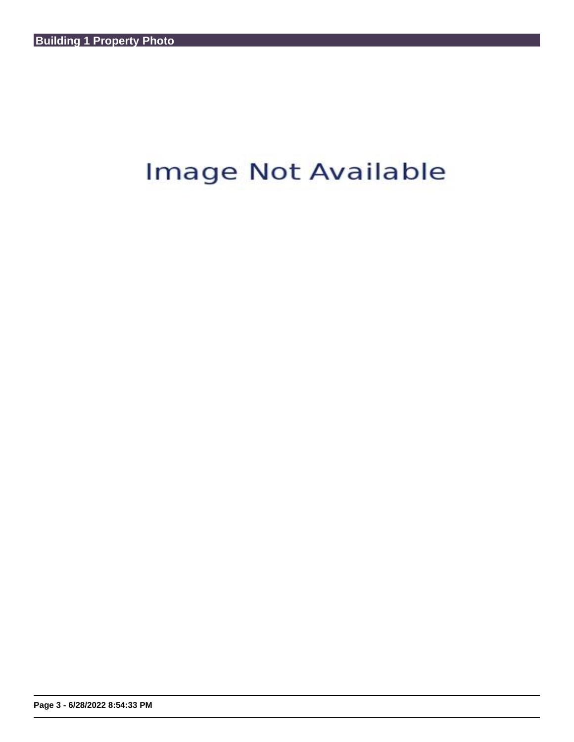## Image Not Available